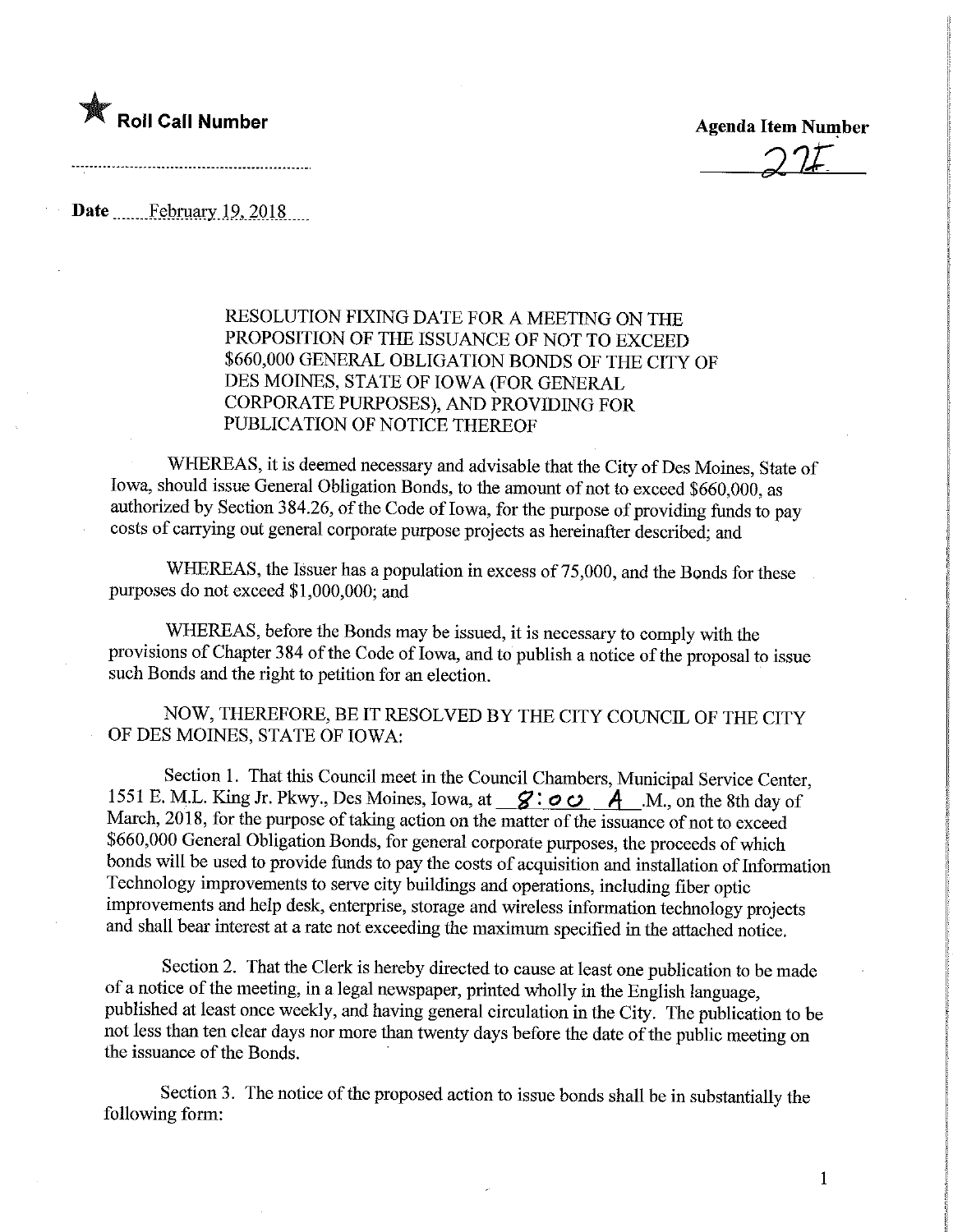

 $22t$ 

Date February 19, 2018

RESOLUTION FIXING DATE FOR A MEETING ON THE PROPOSITION OF THE ISSUANCE OF NOT TO EXCEED \$660,000 GENERAL OBLIGATION BONDS OF THE CITY OF DES MOINES, STATE OF IOWA (FOR GENERAL CORPORATE PURPOSES), AND PROVIDL^G FOR PUBLICATION OF NOTICE THEREOF

WHEREAS, it is deemed necessary and advisable that the City of Des Moines, State of Iowa, should issue General Obligation Bonds, to the amount of not to exceed \$660,000, as authorized by Section 384.26, of the Code of Iowa, for the purpose of providing funds to pay costs of carrying out general corporate purpose projects as hereinafter described; and

WHEREAS, the Issuer has a population in excess of 75,000, and the Bonds for these purposes do not exceed \$1,000,000; and

WHEREAS, before the Bonds may be issued, it is necessary to comply with the provisions of Chapter 384 of the Code of Iowa, and to publish a notice of the proposal to issue such Bonds and the right to petition for an election.

NOW, THEREFORE, BE IT RESOLVED BY THE CITY COUNCIL OF THE CITY OF DES MOINES, STATE OF IOWA:

Section 1. That this Council meet in the Council Chambers, Municipal Service Center, 1551 E. M.L. King Jr. Pkwy., Des Moines, Iowa, at  $\mathscr{S}: \circ \circ A$   $\mathscr{A}$   $\mathscr{M}$ . On the 8th day of March, 2018, for the purpose of taking action on the matter of the issuance of not to exceed \$660,000 General Obligation Bonds, for general corporate purposes, the proceeds of which bonds will be used to provide funds to pay the costs of acquisition and installation of Information Technology improvements to serve city buildings and operations, including fiber optic improvements and help desk, enterprise, storage and wireless information technology projects and shall bear interest at a rate not exceeding the maximum specified in the attached notice.

Section 2. That the Clerk is hereby directed to cause at least one publication to be made of a notice of the meeting, in a legal newspaper, printed wholly in the English language, published at least once weekly, and having general circulation in the City. The publication to be not less than ten clear days nor more than twenty days before the date of the public meeting on the issuance of the Bonds.

Section 3. The notice of the proposed action to issue bonds shall be in substantially the following form: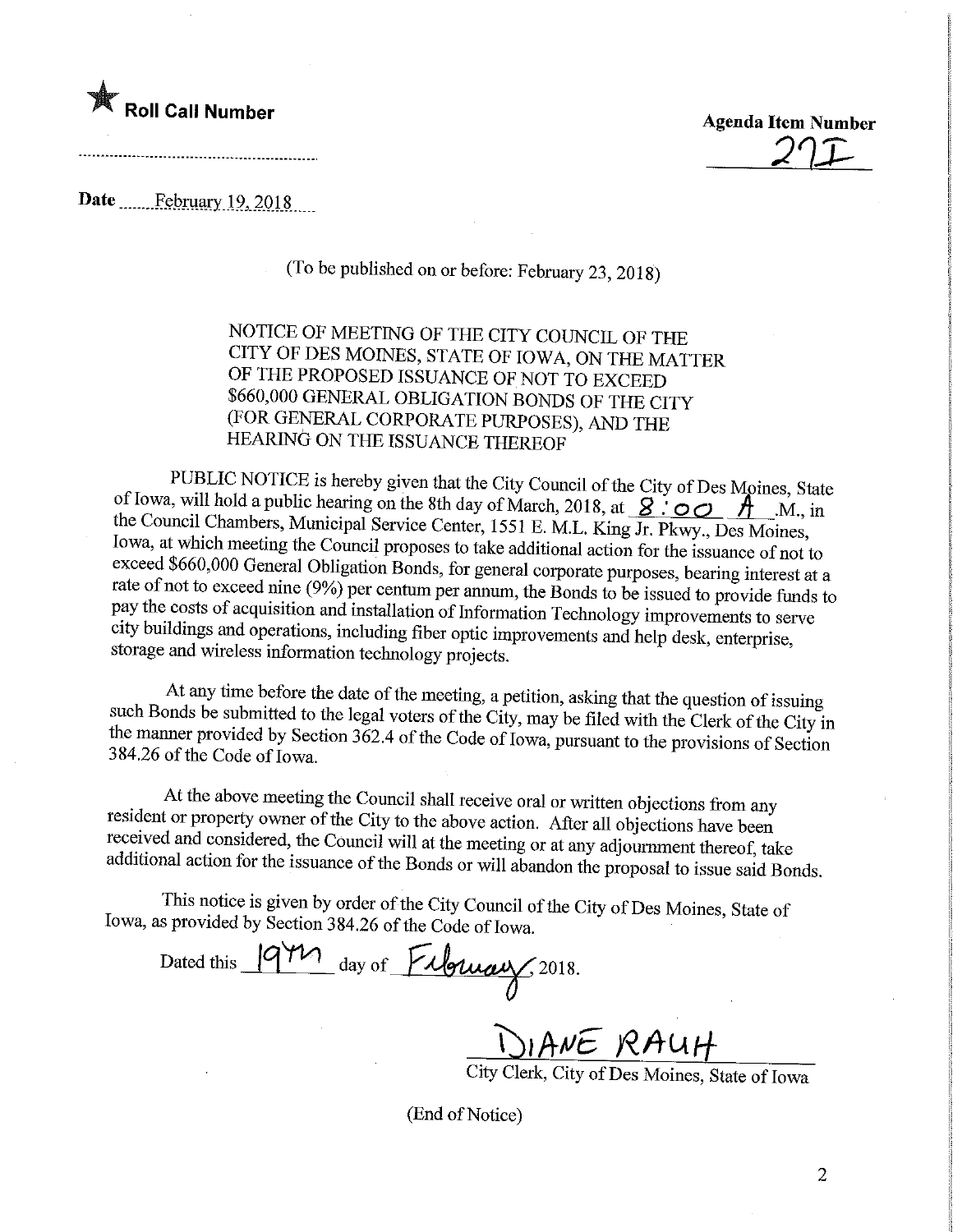

**Agenda Item Number** 

Date ............February.19, 2018......

(To be published on or before: February 23, 2018)

NOTICE OF MEETING OF THE CITY COUNCIL OF THE CITY OF DES MOINES, STATE OF IOWA, ON THE MATTER OF THE PROPOSED ISSUANCE OF NOT TO EXCEED<br>\$660,000 GENERAL OBLIGATION BONDS OF THE CITY **EOD CENERAL OBLIGATION BONDS OF THE CITY** (FOR GENERAL CORPORATE PURPOSES), AND THE HEARING ON THE ISSUANCE THEREOF

PUBLIC NOTICE is hereby given that the City Council of the City of Des Moines, State of Iowa, will hold a public hearing on the 8th day of March, 2018, at  $\overline{S}$ .  $\overline{O}$   $\overline{O}$   $\overline{A}$  ... M., in the Council Chambers, Municipal Service Center, 1551 E. M.L. King Jr. Pkwy., Des Moines, Iowa, at which meeting the Council proposes to take additional action for the issuance of not to exceed \$660,000 General Obligation Bonds, for general corporate purposes, bearing interest at a  $\frac{1}{2}$ exceed  $\frac{1}{2}$  General Corporation Bonds, for general corporate purposes, bearing interest at a  $\frac{1}{2}$  rate of  $\frac{1}{2}$  centum per annum, the Bonds to be issued to provide funds to pay the costs of acquisition and installation of Information Technology improvements to serve city buildings and operations, including flux optic improvements and help desk, enterprise, storage and wireless information technology projects.

 $\alpha$  and  $\alpha$  and  $\alpha$  and  $\alpha$  the date of the meeting, a petition, asking that the question of issuing  $\frac{1}{2}$  such Bonds be submitted to the legal voters of the City, may be filed with the Clerk of the City in the manner provided by Section 362.4 of the Code of Iowa, pursuant to the provisions of Section 384.26 of the Code of Iowa.

At the above meeting the Council shall receive oral or written objections from any resident or property owner of the City to the above action. After all objections have been received and considered, the Council will at the meeting or at any adjournment thereof, take  $r_{\text{initial}}$  received and considered, the Council will at the meeting or at any adjournment thereof, take and act the issuance of the Bonds or will abandon the proposal to issue said Bonds.

This notice is given by order of the City Council of the City of Des Moines, State of Iowa, as provided by Section 384.26 of the Code of Iowa.

Dated this 19 M day of Filomay, 2018.

<u>JIANE RAUH</u>

cy Cierk, City of Des Moines, State of Iowa

(End of Notice)